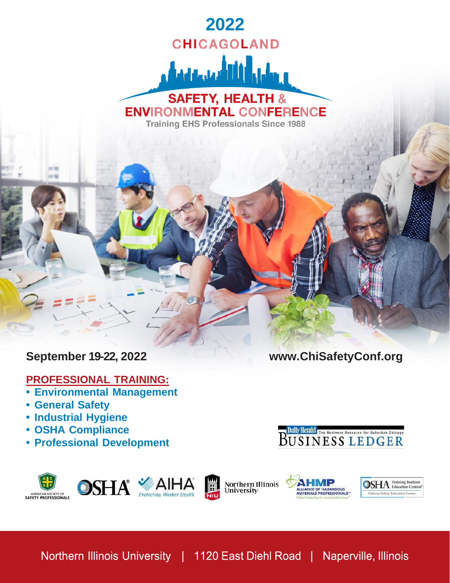# **2022 CHICAGOLAND** <u>المحامين وأثاثا أنبيلون</u> **SAFETY, HEALTH & ENVIRONMENTAL CONFERENCE**

**Training EHS Professionals Since 1988** 

### **PROFESSIONAL TRAINING:**

- **• Environmental Management**
- **• General Safety**
- **• Industrial Hygiene**
- **• OSHA Compliance**
- **• Professional Development**

**September 19-22, 2022 [www.ChiSafetyConf.org](http://www.chisafetyconf.org/)**



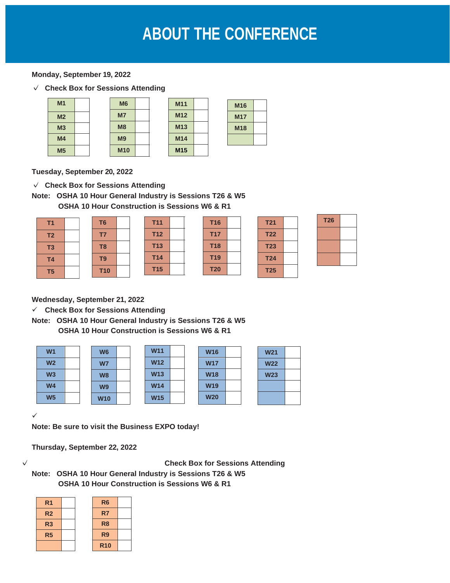## **ABOUT THE CONFERENCE**

#### **Monday, September 19, 2022**

✓ **Check Box for Sessions Attending**

| M <sub>1</sub> |  | M <sub>6</sub> |
|----------------|--|----------------|
| M <sub>2</sub> |  | M <sub>7</sub> |
| M <sub>3</sub> |  | M8             |
| M <sub>4</sub> |  | M <sub>9</sub> |
| M <sub>5</sub> |  | <b>M10</b>     |

| M11             |  |
|-----------------|--|
| M <sub>12</sub> |  |
| <b>M13</b>      |  |
| M14             |  |
| M <sub>15</sub> |  |

| M16        |  |
|------------|--|
| <b>M17</b> |  |
| <b>M18</b> |  |
|            |  |

**Tuesday, September 20, 2022**

✓ **Check Box for Sessions Attending**

**Note: OSHA 10 Hour General Industry is Sessions T26 & W5 OSHA 10 Hour Construction is Sessions W6 & R1**

| T <sub>1</sub> |  | T <sub>6</sub> |  |
|----------------|--|----------------|--|
| T <sub>2</sub> |  | T7             |  |
| T <sub>3</sub> |  | T <sub>8</sub> |  |
| T <sub>4</sub> |  | T <sub>9</sub> |  |
| T <sub>5</sub> |  | <b>T10</b>     |  |

| T11             |  | <b>T16</b> |  |
|-----------------|--|------------|--|
| T12             |  | <b>T17</b> |  |
| <b>T13</b>      |  | <b>T18</b> |  |
| T <sub>14</sub> |  | <b>T19</b> |  |
| <b>T15</b>      |  | <b>T20</b> |  |

| <b>T21</b>      |  |
|-----------------|--|
| <b>T22</b>      |  |
| T <sub>23</sub> |  |
| T <sub>24</sub> |  |
| <b>T25</b>      |  |

| <b>T26</b> |  |
|------------|--|
|            |  |
|            |  |
|            |  |

**Wednesday, September 21, 2022**

✓ **Check Box for Sessions Attending**

**Note: OSHA 10 Hour General Industry is Sessions T26 & W5 OSHA 10 Hour Construction is Sessions W6 & R1**

| W <sub>1</sub> | W <sub>6</sub> | <b>W11</b> |  | <b>W16</b> |  |
|----------------|----------------|------------|--|------------|--|
| W <sub>2</sub> | <b>W7</b>      | <b>W12</b> |  | <b>W17</b> |  |
| W <sub>3</sub> | W <sub>8</sub> | <b>W13</b> |  | <b>W18</b> |  |
| W <sub>4</sub> | W <sub>9</sub> | <b>W14</b> |  | <b>W19</b> |  |
| W <sub>5</sub> | <b>W10</b>     | <b>W15</b> |  | <b>W20</b> |  |

| <b>W21</b> |  |
|------------|--|
| <b>W22</b> |  |
| <b>W23</b> |  |
|            |  |
|            |  |

✓

**Note: Be sure to visit the Business EXPO today!**

**Thursday, September 22, 2022**

✓ **Check Box for Sessions Attending**

**Note: OSHA 10 Hour General Industry is Sessions T26 & W5 OSHA 10 Hour Construction is Sessions W6 & R1**

| R <sub>1</sub> |  | R <sub>6</sub> |  |
|----------------|--|----------------|--|
| R <sub>2</sub> |  | R7             |  |
| R <sub>3</sub> |  | R <sub>8</sub> |  |
| R <sub>5</sub> |  | R <sub>9</sub> |  |
|                |  | <b>R10</b>     |  |